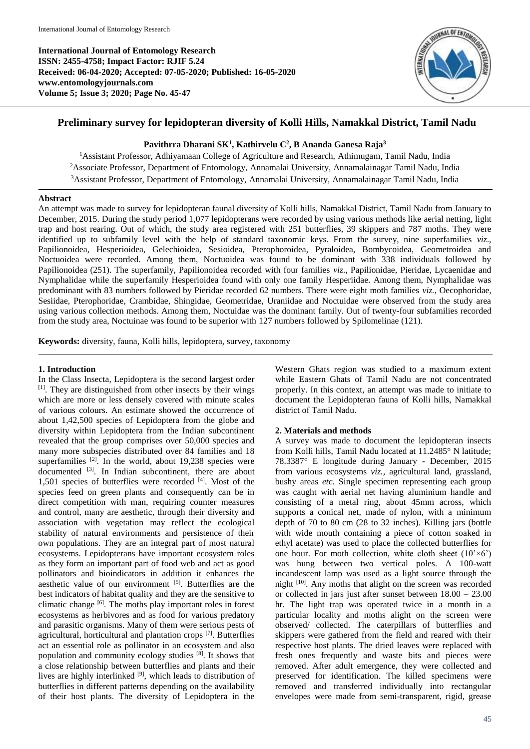**International Journal of Entomology Research ISSN: 2455-4758; Impact Factor: RJIF 5.24 Received: 06-04-2020; Accepted: 07-05-2020; Published: 16-05-2020 www.entomologyjournals.com Volume 5; Issue 3; 2020; Page No. 45-47**



# **Preliminary survey for lepidopteran diversity of Kolli Hills, Namakkal District, Tamil Nadu**

## **Pavithrra Dharani SK<sup>1</sup> , Kathirvelu C<sup>2</sup> , B Ananda Ganesa Raja<sup>3</sup>**

<sup>1</sup> Assistant Professor, Adhiyamaan College of Agriculture and Research, Athimugam, Tamil Nadu, India <sup>2</sup>Associate Professor, Department of Entomology, Annamalai University, Annamalainagar Tamil Nadu, India <sup>3</sup>Assistant Professor, Department of Entomology, Annamalai University, Annamalainagar Tamil Nadu, India

#### **Abstract**

An attempt was made to survey for lepidopteran faunal diversity of Kolli hills, Namakkal District, Tamil Nadu from January to December, 2015. During the study period 1,077 lepidopterans were recorded by using various methods like aerial netting, light trap and host rearing. Out of which, the study area registered with 251 butterflies, 39 skippers and 787 moths. They were identified up to subfamily level with the help of standard taxonomic keys. From the survey, nine superfamilies *viz*., Papilionoidea, Hesperioidea, Gelechioidea, Sesioidea, Pterophoroidea, Pyraloidea, Bombycoidea, Geometroidea and Noctuoidea were recorded. Among them, Noctuoidea was found to be dominant with 338 individuals followed by Papilionoidea (251). The superfamily, Papilionoidea recorded with four families *viz*., Papilionidae, Pieridae, Lycaenidae and Nymphalidae while the superfamily Hesperioidea found with only one family Hesperiidae. Among them, Nymphalidae was predominant with 83 numbers followed by Pieridae recorded 62 numbers. There were eight moth families *viz.*, Oecophoridae, Sesiidae, Pterophoridae, Crambidae, Shingidae, Geometridae, Uraniidae and Noctuidae were observed from the study area using various collection methods. Among them, Noctuidae was the dominant family. Out of twenty-four subfamilies recorded from the study area, Noctuinae was found to be superior with 127 numbers followed by Spilomelinae (121).

**Keywords:** diversity, fauna, Kolli hills, lepidoptera, survey, taxonomy

## **1. Introduction**

In the Class Insecta, Lepidoptera is the second largest order [1]. They are distinguished from other insects by their wings which are more or less densely covered with minute scales of various colours. An estimate showed the occurrence of about 1,42,500 species of Lepidoptera from the globe and diversity within Lepidoptera from the Indian subcontinent revealed that the group comprises over 50,000 species and many more subspecies distributed over 84 families and 18 superfamilies <sup>[2]</sup>. In the world, about 19,238 species were documented <sup>[3]</sup>. In Indian subcontinent, there are about  $1,501$  species of butterflies were recorded  $[4]$ . Most of the species feed on green plants and consequently can be in direct competition with man, requiring counter measures and control, many are aesthetic, through their diversity and association with vegetation may reflect the ecological stability of natural environments and persistence of their own populations. They are an integral part of most natural ecosystems. Lepidopterans have important ecosystem roles as they form an important part of food web and act as good pollinators and bioindicators in addition it enhances the aesthetic value of our environment [5]. Butterflies are the best indicators of habitat quality and they are the sensitive to climatic change [6]. The moths play important roles in forest ecosystems as herbivores and as food for various predatory and parasitic organisms. Many of them were serious pests of agricultural, horticultural and plantation crops [7]. Butterflies act an essential role as pollinator in an ecosystem and also population and community ecology studies [8]. It shows that a close relationship between butterflies and plants and their lives are highly interlinked [9], which leads to distribution of butterflies in different patterns depending on the availability of their host plants. The diversity of Lepidoptera in the

Western Ghats region was studied to a maximum extent while Eastern Ghats of Tamil Nadu are not concentrated properly. In this context, an attempt was made to initiate to document the Lepidopteran fauna of Kolli hills, Namakkal district of Tamil Nadu.

## **2. Materials and methods**

A survey was made to document the lepidopteran insects from Kolli hills, Tamil Nadu located at 11.2485° N latitude; 78.3387° E longitude during January - December, 2015 from various ecosystems *viz.,* agricultural land, grassland, bushy areas *etc.* Single specimen representing each group was caught with aerial net having aluminium handle and consisting of a metal ring, about 45mm across, which supports a conical net, made of nylon, with a minimum depth of 70 to 80 cm (28 to 32 inches). Killing jars (bottle with wide mouth containing a piece of cotton soaked in ethyl acetate) was used to place the collected butterflies for one hour. For moth collection, white cloth sheet  $(10' \times 6')$ was hung between two vertical poles. A 100-watt incandescent lamp was used as a light source through the night <sup>[10]</sup>. Any moths that alight on the screen was recorded or collected in jars just after sunset between 18.00 – 23.00 hr. The light trap was operated twice in a month in a particular locality and moths alight on the screen were observed/ collected. The caterpillars of butterflies and skippers were gathered from the field and reared with their respective host plants. The dried leaves were replaced with fresh ones frequently and waste bits and pieces were removed. After adult emergence, they were collected and preserved for identification. The killed specimens were removed and transferred individually into rectangular envelopes were made from semi-transparent, rigid, grease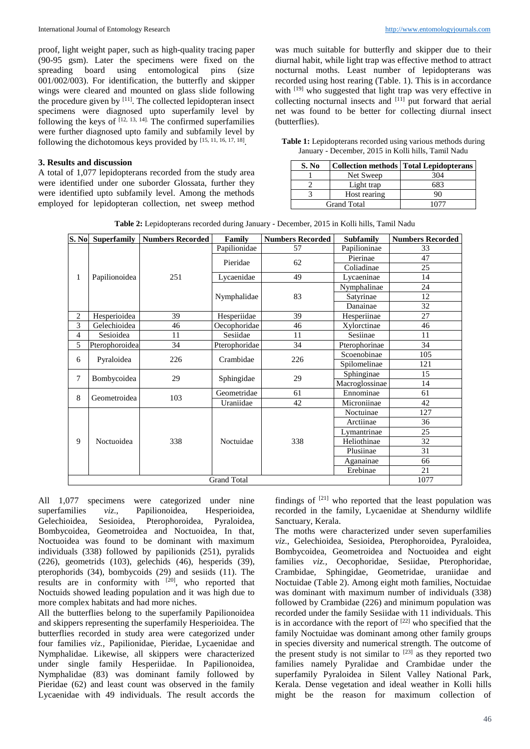proof, light weight paper, such as high-quality tracing paper (90-95 gsm). Later the specimens were fixed on the spreading board using entomological pins (size 001/002/003). For identification, the butterfly and skipper wings were cleared and mounted on glass slide following the procedure given by  $[11]$ . The collected lepidopteran insect specimens were diagnosed upto superfamily level by following the keys of  $[12, 13, 14]$ . The confirmed superfamilies were further diagnosed upto family and subfamily level by following the dichotomous keys provided by  $[15, 11, 16, 17, 18]$ .

## **3. Results and discussion**

A total of 1,077 lepidopterans recorded from the study area were identified under one suborder Glossata, further they were identified upto subfamily level. Among the methods employed for lepidopteran collection, net sweep method was much suitable for butterfly and skipper due to their diurnal habit, while light trap was effective method to attract nocturnal moths. Least number of lepidopterans was recorded using host rearing (Table. 1). This is in accordance with [19] who suggested that light trap was very effective in collecting nocturnal insects and [11] put forward that aerial net was found to be better for collecting diurnal insect (butterflies).

**Table 1:** Lepidopterans recorded using various methods during January - December, 2015 in Kolli hills, Tamil Nadu

| S. No |                    | <b>Collection methods   Total Lepidopterans</b> |  |
|-------|--------------------|-------------------------------------------------|--|
|       | Net Sweep          | 304                                             |  |
|       | Light trap         |                                                 |  |
|       | Host rearing       | 90                                              |  |
|       | <b>Grand Total</b> |                                                 |  |

**Table 2:** Lepidopterans recorded during January - December, 2015 in Kolli hills, Tamil Nadu

| S. No          | <b>Superfamily</b> | <b>Numbers Recorded</b> | Family        | <b>Numbers Recorded</b> | <b>Subfamily</b> | <b>Numbers Recorded</b> |
|----------------|--------------------|-------------------------|---------------|-------------------------|------------------|-------------------------|
| 1              | Papilionoidea      | 251                     | Papilionidae  | 57                      | Papilioninae     | 33                      |
|                |                    |                         | Pieridae      | 62                      | Pierinae         | 47                      |
|                |                    |                         |               |                         | Coliadinae       | 25                      |
|                |                    |                         | Lycaenidae    | 49                      | Lycaeninae       | 14                      |
|                |                    |                         | Nymphalidae   | 83                      | Nymphalinae      | 24                      |
|                |                    |                         |               |                         | Satyrinae        | 12                      |
|                |                    |                         |               |                         | Danainae         | 32                      |
| 2              | Hesperioidea       | 39                      | Hesperiidae   | 39                      | Hesperiinae      | 27                      |
| 3              | Gelechioidea       | 46                      | Oecophoridae  | 46                      | Xylorctinae      | 46                      |
| $\overline{4}$ | Sesioidea          | 11                      | Sesiidae      | 11                      | Sesiinae         | 11                      |
| 5              | Pterophoroidea     | 34                      | Pterophoridae | 34                      | Pterophorinae    | 34                      |
| 6              | Pyraloidea         | 226                     | Crambidae     | 226                     | Scoenobinae      | 105                     |
|                |                    |                         |               |                         | Spilomelinae     | 121                     |
| 7              | Bombycoidea        | 29                      | Sphingidae    | 29                      | Sphinginae       | 15                      |
|                |                    |                         |               |                         | Macroglossinae   | 14                      |
| 8              | Geometroidea       | 103                     | Geometridae   | 61                      | Ennominae        | 61                      |
|                |                    |                         | Uraniidae     | 42                      | Microniinae      | 42                      |
| 9              | Noctuoidea         | 338                     | Noctuidae     | 338                     | Noctuinae        | 127                     |
|                |                    |                         |               |                         | Arctiinae        | 36                      |
|                |                    |                         |               |                         | Lymantrinae      | 25                      |
|                |                    |                         |               |                         | Heliothinae      | 32                      |
|                |                    |                         |               |                         | Plusiinae        | 31                      |
|                |                    |                         |               |                         | Aganainae        | 66                      |
|                |                    |                         |               |                         | Erebinae         | 21                      |
|                | 1077               |                         |               |                         |                  |                         |

All 1,077 specimens were categorized under nine superfamilies *viz.*, Papilionoidea, Hesperioidea, Gelechioidea, Sesioidea, Pterophoroidea, Pyraloidea, Pterophoroidea, Pyraloidea, Bombycoidea, Geometroidea and Noctuoidea, In that, Noctuoidea was found to be dominant with maximum individuals (338) followed by papilionids (251), pyralids (226), geometrids (103), gelechids (46), hesperids (39), pterophorids (34), bombycoids (29) and sesiids (11). The results are in conformity with [20], who reported that Noctuids showed leading population and it was high due to more complex habitats and had more niches.

All the butterflies belong to the superfamily Papilionoidea and skippers representing the superfamily Hesperioidea. The butterflies recorded in study area were categorized under four families *viz.,* Papilionidae, Pieridae, Lycaenidae and Nymphalidae. Likewise, all skippers were characterized under single family Hesperiidae. In Papilionoidea, Nymphalidae (83) was dominant family followed by Pieridae (62) and least count was observed in the family Lycaenidae with 49 individuals. The result accords the

findings of  $[21]$  who reported that the least population was recorded in the family, Lycaenidae at Shendurny wildlife Sanctuary, Kerala.

The moths were characterized under seven superfamilies *viz*., Gelechioidea, Sesioidea, Pterophoroidea, Pyraloidea, Bombycoidea, Geometroidea and Noctuoidea and eight families *viz.,* Oecophoridae, Sesiidae, Pterophoridae, Crambidae, Sphingidae, Geometridae, uraniidae and Noctuidae (Table 2). Among eight moth families, Noctuidae was dominant with maximum number of individuals (338) followed by Crambidae (226) and minimum population was recorded under the family Sesiidae with 11 individuals. This is in accordance with the report of  $[22]$  who specified that the family Noctuidae was dominant among other family groups in species diversity and numerical strength. The outcome of the present study is not similar to  $[23]$  as they reported two families namely Pyralidae and Crambidae under the superfamily Pyraloidea in Silent Valley National Park, Kerala. Dense vegetation and ideal weather in Kolli hills might be the reason for maximum collection of